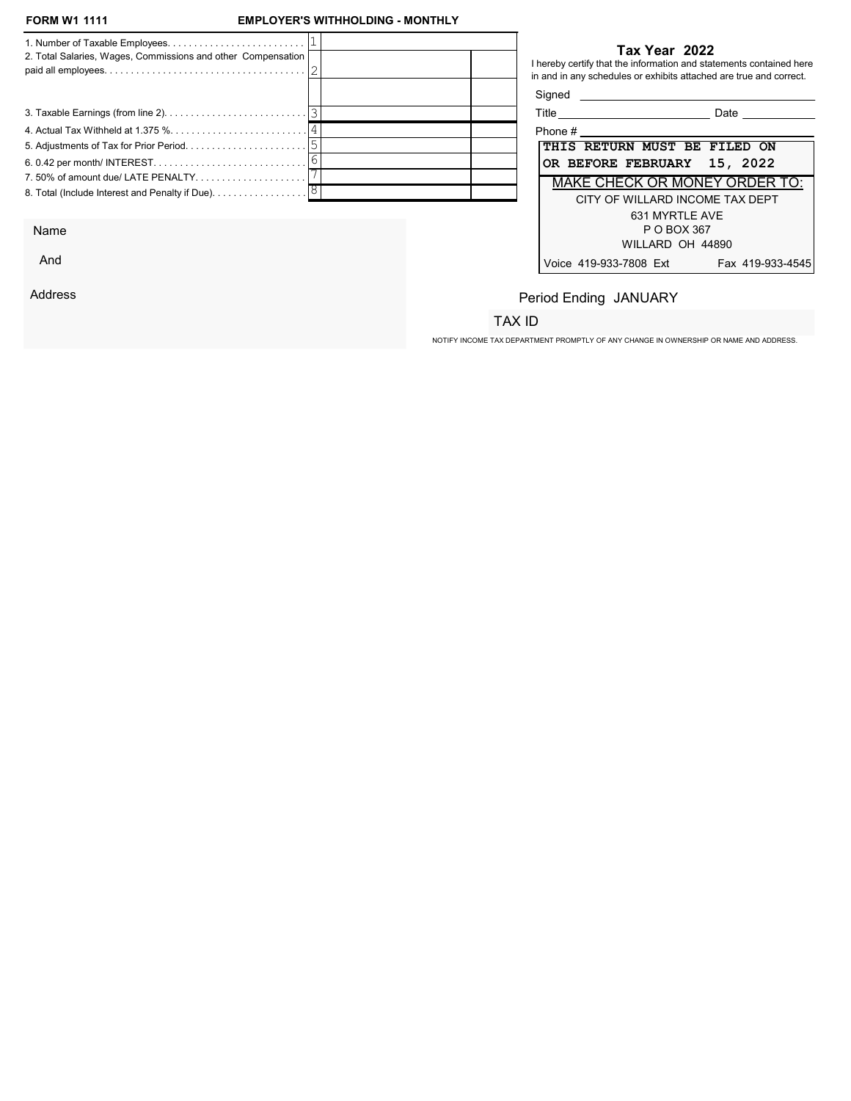## **EMPLOYER'S WITHHOLDING - MONTHLY**

| 2. Total Salaries, Wages, Commissions and other Compensation |  | Tax Year 2022<br>I hereby certify that the information and statements contained here<br>in and in any schedules or exhibits attached are true and correct. |
|--------------------------------------------------------------|--|------------------------------------------------------------------------------------------------------------------------------------------------------------|
|                                                              |  | Signed <b>Signed</b>                                                                                                                                       |
|                                                              |  | Date                                                                                                                                                       |
|                                                              |  | Phone #                                                                                                                                                    |
|                                                              |  | THIS RETURN MUST BE FILED ON                                                                                                                               |
|                                                              |  | OR BEFORE FEBRUARY 15, 2022                                                                                                                                |
|                                                              |  | <b>MAKE CHECK OR MONEY ORDER TO:</b>                                                                                                                       |
|                                                              |  | CITY OF WILLARD INCOME TAX DEPT<br>631 MYRTLE AVE                                                                                                          |

Name

And

Address

## Tax Year 2022

| Title                                | Date             |
|--------------------------------------|------------------|
| Phone #                              |                  |
| THIS RETURN MUST BE FILED ON         |                  |
| OR BEFORE FEBRUARY 15, 2022          |                  |
| <b>MAKE CHECK OR MONEY ORDER TO:</b> |                  |
| CITY OF WILLARD INCOME TAX DEPT      |                  |
| 631 MYRTI F AVF                      |                  |
| P O BOX 367                          |                  |
| WILLARD OH 44890                     |                  |
| Voice 419-933-7808 Ext               | Fax 419-933-4545 |

# Period Ending JANUARY

## TAX ID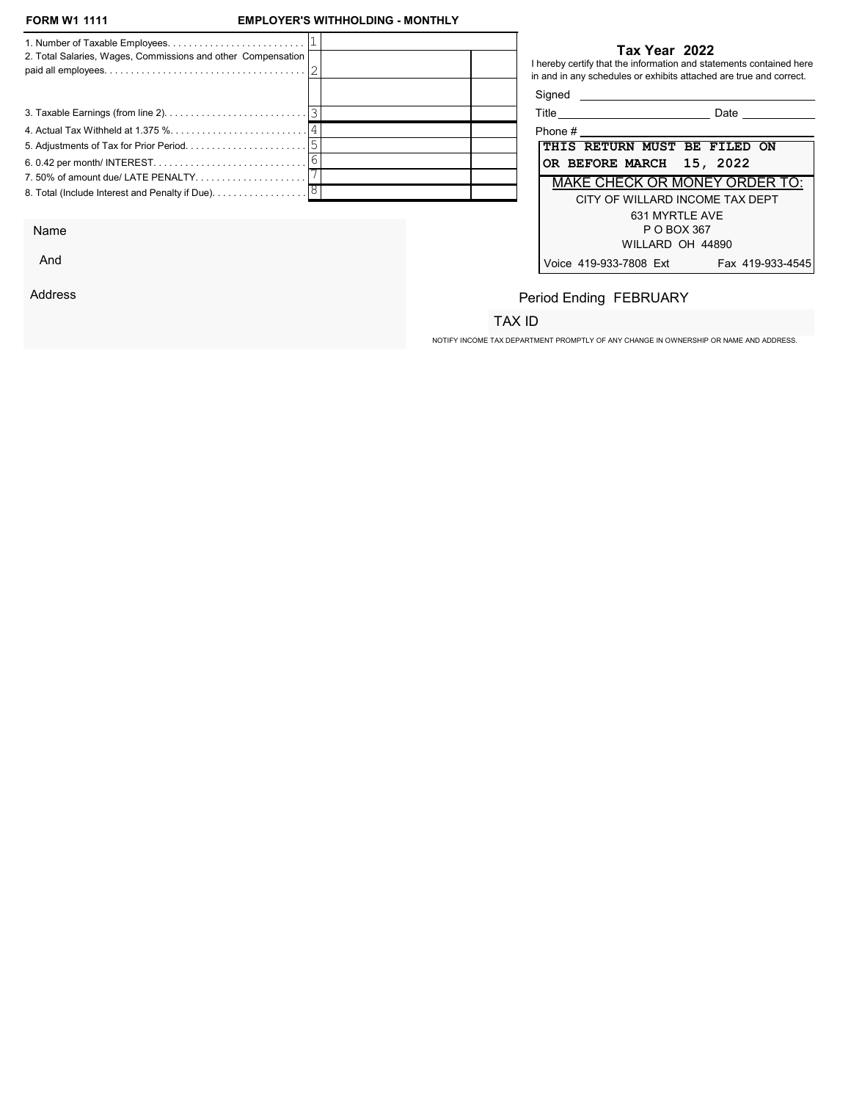## **EMPLOYER'S WITHHOLDING - MONTHLY**

| 2. Total Salaries, Wages, Commissions and other Compensation                  |  | Tax Year 2022<br>I hereby certify that the information and statements contained here<br>in and in any schedules or exhibits attached are true and correct. |
|-------------------------------------------------------------------------------|--|------------------------------------------------------------------------------------------------------------------------------------------------------------|
|                                                                               |  | Signed <b>Signed</b>                                                                                                                                       |
|                                                                               |  | Date                                                                                                                                                       |
|                                                                               |  | Phone #                                                                                                                                                    |
|                                                                               |  | THIS RETURN MUST BE FILED ON                                                                                                                               |
|                                                                               |  | OR BEFORE MARCH 15, 2022                                                                                                                                   |
|                                                                               |  | MAKE CHECK OR MONEY ORDER TO:                                                                                                                              |
| 8. Total (Include Interest and Penalty if Due). $\ldots \ldots \ldots \ldots$ |  | CITY OF WILLARD INCOME TAX DEPT<br>631 MYRTLE AVE                                                                                                          |

Name

And

Address

#### Tax Year 2022

| Title<br>Date                              |
|--------------------------------------------|
| Phone #                                    |
| THIS RETURN MUST BE FILED ON               |
| OR BEFORE MARCH 15, 2022                   |
| <b>MAKE CHECK OR MONEY ORDER TO:</b>       |
| CITY OF WILLARD INCOME TAX DEPT            |
| 631 MYRTLE AVE                             |
| P O BOX 367                                |
| WILLARD OH 44890                           |
| Voice 419-933-7808 Ext<br>Fax 419-933-4545 |

# Period Ending FEBRUARY

## TAX ID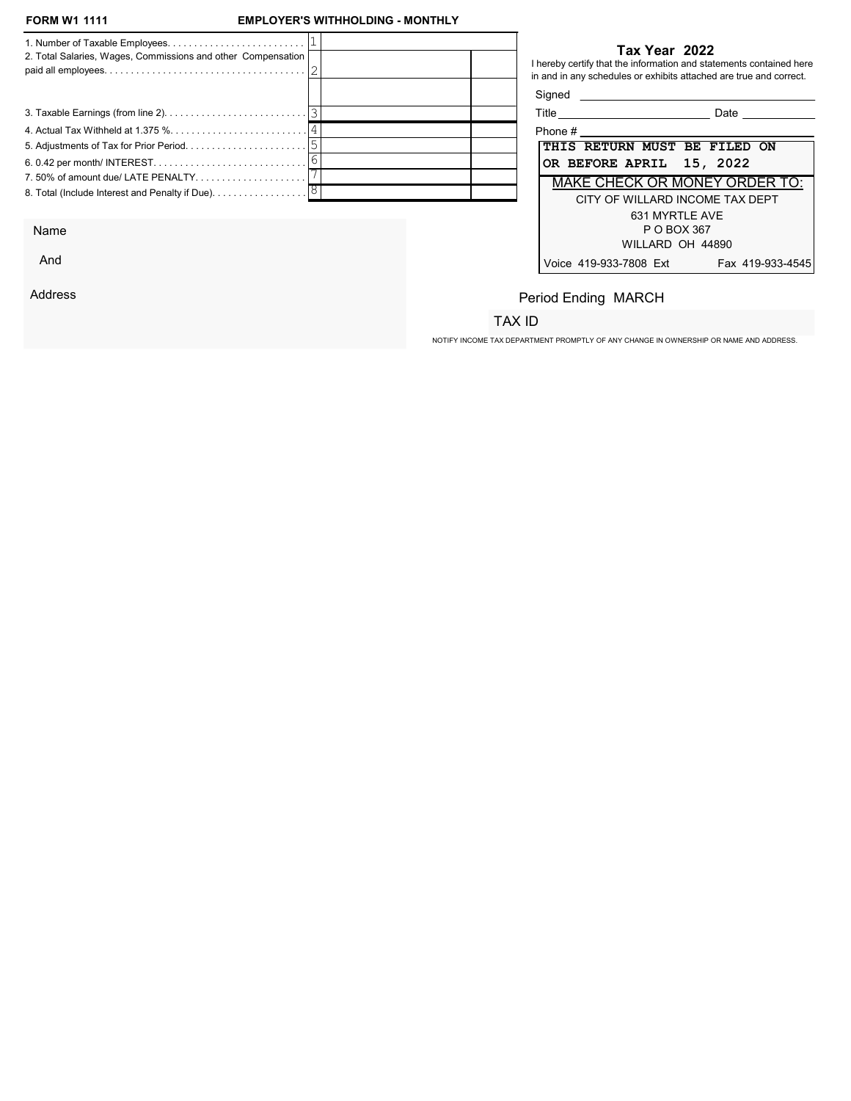And

Address

## **EMPLOYER'S WITHHOLDING - MONTHLY**

|                                                              |  |                              | Tax Year 2022                                                                                                                             |
|--------------------------------------------------------------|--|------------------------------|-------------------------------------------------------------------------------------------------------------------------------------------|
| 2. Total Salaries, Wages, Commissions and other Compensation |  |                              | I hereby certify that the information and statements contained here<br>in and in any schedules or exhibits attached are true and correct. |
|                                                              |  | Signed                       |                                                                                                                                           |
|                                                              |  |                              | Date                                                                                                                                      |
|                                                              |  | Phone #                      |                                                                                                                                           |
|                                                              |  | THIS RETURN MUST BE FILED ON |                                                                                                                                           |
|                                                              |  | OR BEFORE APRIL 15, 2022     |                                                                                                                                           |
|                                                              |  |                              | MAKE CHECK OR MONEY ORDER TO:                                                                                                             |
|                                                              |  |                              | CITY OF WILLARD INCOME TAX DEPT                                                                                                           |
|                                                              |  |                              | 631 MYRTLE AVE                                                                                                                            |
| Name                                                         |  |                              | P O BOX 367                                                                                                                               |

| Title                           | Date                                 |
|---------------------------------|--------------------------------------|
| Phone #                         |                                      |
| THIS RETURN MUST BE FILED ON    |                                      |
| OR BEFORE APRIL 15, 2022        |                                      |
|                                 | <b>MAKE CHECK OR MONEY ORDER TO:</b> |
| CITY OF WILLARD INCOME TAX DEPT |                                      |
| 631 MYRTLE AVE                  |                                      |
| P O BOX 367                     |                                      |
| WILLARD OH 44890                |                                      |
| Voice 419-933-7808 Ext          | Fax 419-933-4545                     |

# Period Ending MARCH

## TAX ID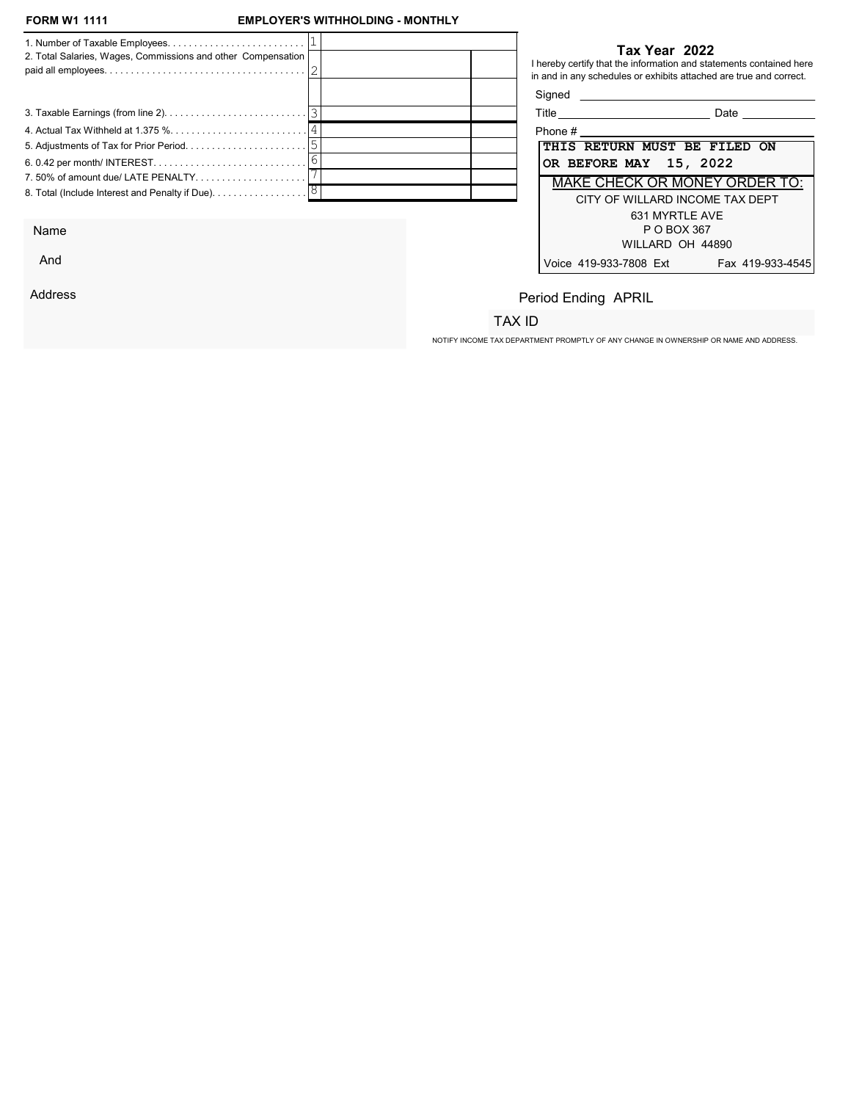## **EMPLOYER'S WITHHOLDING - MONTHLY**

| 2. Total Salaries, Wages, Commissions and other Compensation                         |  |  | Tax Year 2022<br>I hereby certify that the information and statements contained here<br>in and in any schedules or exhibits attached are true and correct. |
|--------------------------------------------------------------------------------------|--|--|------------------------------------------------------------------------------------------------------------------------------------------------------------|
|                                                                                      |  |  | Signed <b>Signed</b>                                                                                                                                       |
|                                                                                      |  |  | Title _____________________________<br>Date                                                                                                                |
|                                                                                      |  |  |                                                                                                                                                            |
|                                                                                      |  |  | THIS RETURN MUST BE FILED ON                                                                                                                               |
|                                                                                      |  |  | OR BEFORE MAY 15, 2022                                                                                                                                     |
|                                                                                      |  |  | <b>MAKE CHECK OR MONEY ORDER TO:</b>                                                                                                                       |
| 8. Total (Include Interest and Penalty if Due). $\ldots \ldots \ldots \ldots \ldots$ |  |  | CITY OF WILLARD INCOME TAX DEPT                                                                                                                            |
|                                                                                      |  |  | 631 MYRTLE AVE                                                                                                                                             |

Name

And

Address

## Tax Year 2022

| Title<br>Date                              |
|--------------------------------------------|
| Phone #                                    |
| THIS RETURN MUST BE FILED ON               |
| OR BEFORE MAY 15, 2022                     |
| <b>MAKE CHECK OR MONEY ORDER TO:</b>       |
| CITY OF WILLARD INCOME TAX DEPT            |
| 631 MYRTI F AVF                            |
| P O BOX 367                                |
| WILLARD OH 44890                           |
| Voice 419-933-7808 Ext<br>Fax 419-933-4545 |

# Period Ending APRIL

## TAX ID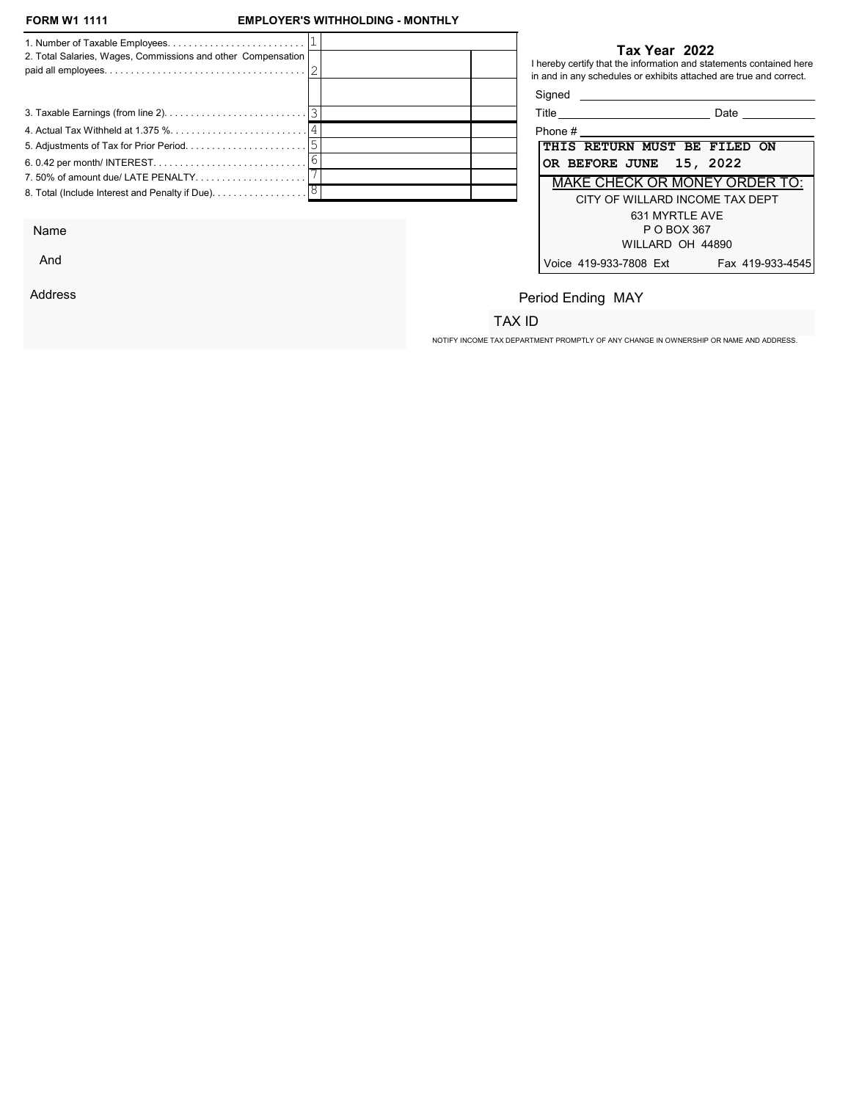## **EMPLOYER'S WITHHOLDING - MONTHLY**

| 2. Total Salaries, Wages, Commissions and other Compensation                  |  | Tax Year 2022<br>in and in any schedules or exhibits attached are true and correct. | I hereby certify that the information and statements contained here |
|-------------------------------------------------------------------------------|--|-------------------------------------------------------------------------------------|---------------------------------------------------------------------|
|                                                                               |  | Signed <b>Signed</b>                                                                |                                                                     |
|                                                                               |  |                                                                                     | <b>Date Date</b>                                                    |
|                                                                               |  |                                                                                     |                                                                     |
|                                                                               |  | THIS RETURN MUST BE FILED ON                                                        |                                                                     |
|                                                                               |  | OR BEFORE JUNE 15, 2022                                                             |                                                                     |
|                                                                               |  |                                                                                     | MAKE CHECK OR MONEY ORDER TO:                                       |
| 8. Total (Include Interest and Penalty if Due). $\ldots \ldots \ldots \ldots$ |  |                                                                                     | CITY OF WILLARD INCOME TAX DEPT<br>631 MYRTLE AVE                   |
|                                                                               |  |                                                                                     |                                                                     |

Name

And

Address

## Tax Year 2022

| Title<br>Date                              |
|--------------------------------------------|
| Phone #                                    |
| THIS RETURN MUST BE FILED ON               |
| OR BEFORE JUNE 15, 2022                    |
| <b>MAKE CHECK OR MONEY ORDER TO:</b>       |
| CITY OF WILLARD INCOME TAX DEPT            |
| 631 MYRTI F AVF                            |
| P O BOX 367                                |
| WILLARD OH 44890                           |
| Voice 419-933-7808 Ext<br>Fax 419-933-4545 |

# Period Ending MAY

## TAX ID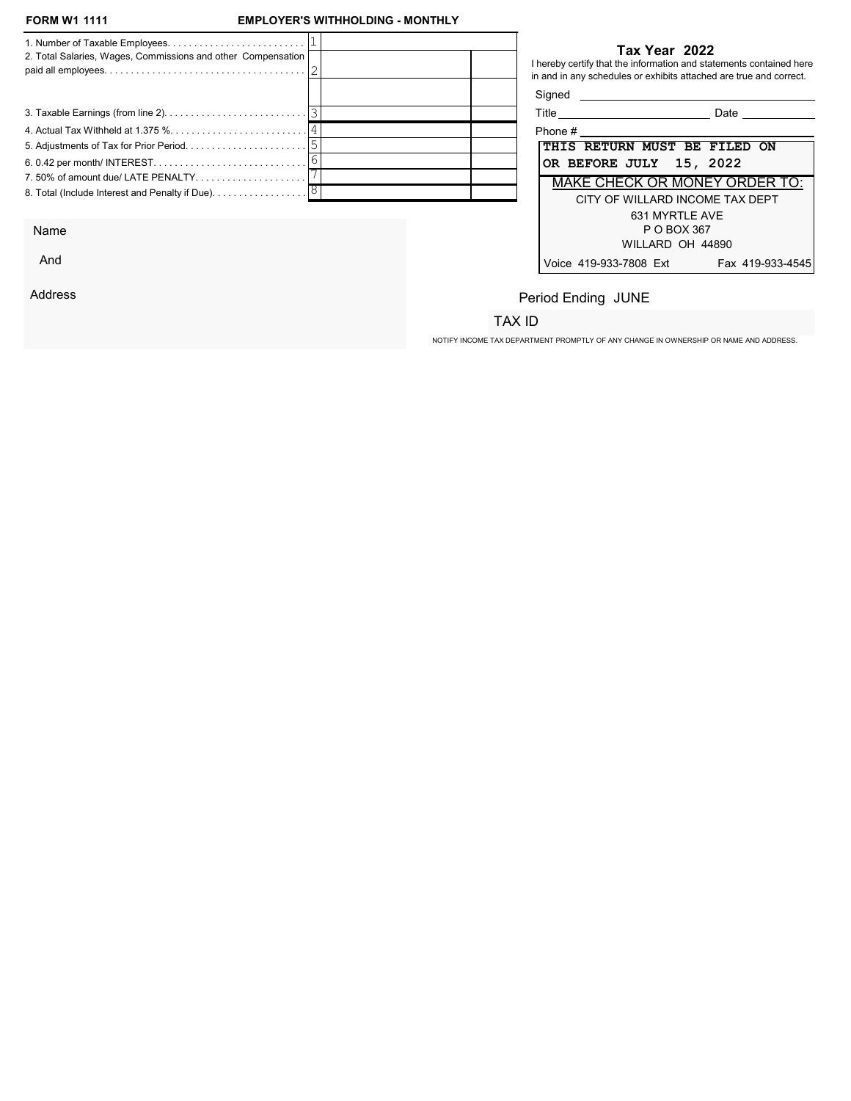## **EMPLOYER'S WITHHOLDING - MONTHLY**

| 2. Total Salaries, Wages, Commissions and other Compensation                  |  | Tax Year 2022<br>I hereby certify that the information and statements contained here<br>in and in any schedules or exhibits attached are true and correct. |
|-------------------------------------------------------------------------------|--|------------------------------------------------------------------------------------------------------------------------------------------------------------|
|                                                                               |  | Signed <b>Signed</b>                                                                                                                                       |
|                                                                               |  | Date                                                                                                                                                       |
|                                                                               |  |                                                                                                                                                            |
|                                                                               |  | THIS RETURN MUST BE FILED ON                                                                                                                               |
|                                                                               |  | OR BEFORE JULY 15, 2022                                                                                                                                    |
|                                                                               |  | MAKE CHECK OR MONEY ORDER TO:                                                                                                                              |
| 8. Total (Include Interest and Penalty if Due). $\ldots \ldots \ldots \ldots$ |  | CITY OF WILLARD INCOME TAX DEPT                                                                                                                            |
|                                                                               |  | 631 MYRTLE AVE                                                                                                                                             |

Name

And

Address

## Tax Year 2022

| Title<br>Date                              |
|--------------------------------------------|
| Phone #                                    |
| THIS RETURN MUST BE FILED ON               |
| OR BEFORE JULY 15, 2022                    |
| <b>MAKE CHECK OR MONEY ORDER TO:</b>       |
| CITY OF WILLARD INCOME TAX DEPT            |
| 631 MYRTLE AVE                             |
| P O BOX 367                                |
| WILLARD OH 44890                           |
| Voice 419-933-7808 Ext<br>Fax 419-933-4545 |

# Period Ending JUNE

## TAX ID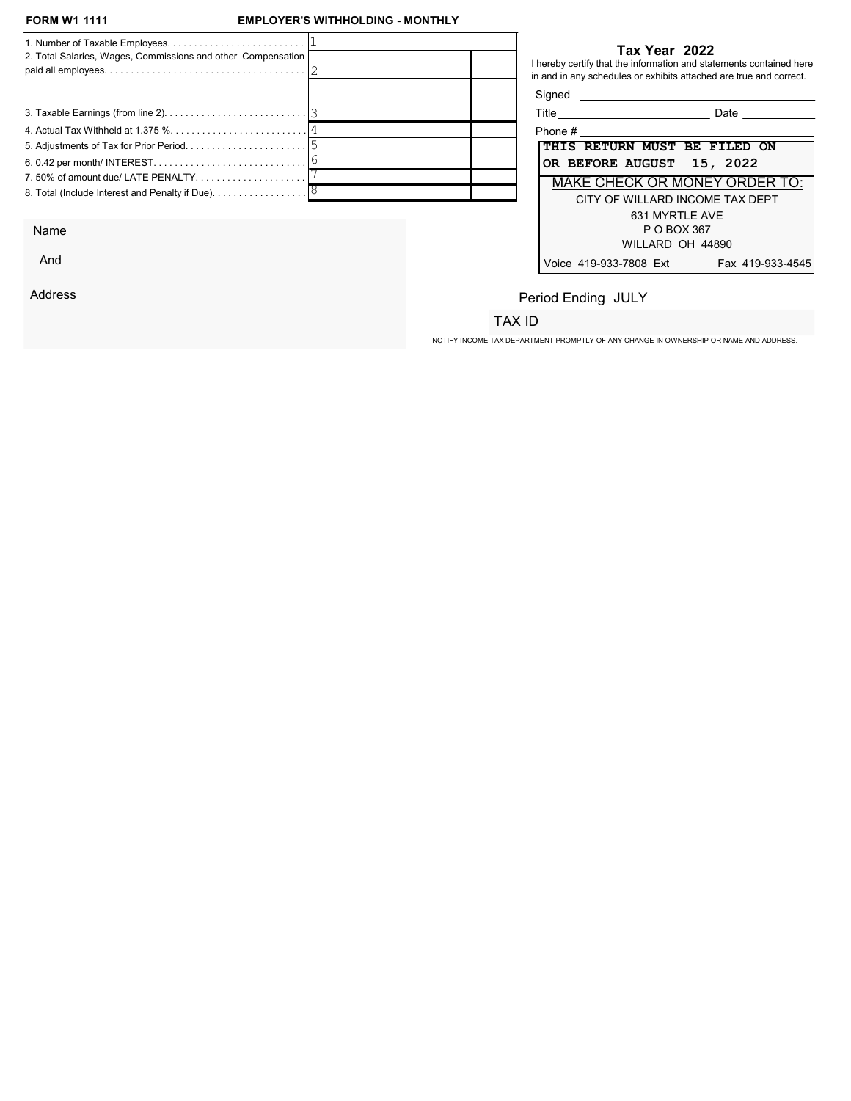## **EMPLOYER'S WITHHOLDING - MONTHLY**

| 2. Total Salaries, Wages, Commissions and other Compensation                                            | Tax Year 2022<br>I hereby certify that the information and statements contained here<br>in and in any schedules or exhibits attached are true and correct. |
|---------------------------------------------------------------------------------------------------------|------------------------------------------------------------------------------------------------------------------------------------------------------------|
|                                                                                                         | Signed <b>Signed</b>                                                                                                                                       |
|                                                                                                         | <b>Date Date</b>                                                                                                                                           |
|                                                                                                         | Phone # Phone # 2002                                                                                                                                       |
|                                                                                                         | <b>THIS RETURN MUST BE FILED ON</b>                                                                                                                        |
|                                                                                                         | OR BEFORE AUGUST 15, 2022                                                                                                                                  |
|                                                                                                         | MAKE CHECK OR MONEY ORDER TO:                                                                                                                              |
| 8. Total (Include Interest and Penalty if Due). $\ldots \ldots \ldots \ldots \ldots$                    | CITY OF WILLARD INCOME TAX DEPT                                                                                                                            |
| $\mathbf{A}$ $\mathbf{B}$ $\mathbf{B}$ $\mathbf{B}$ $\mathbf{B}$ $\mathbf{B}$ $\mathbf{B}$ $\mathbf{B}$ | 631 MYRTLE AVE<br>$D$ $\cap$ $D$ $\cap$ $\vee$ $\cap$ $\cap$                                                                                               |

Name

And

Address

#### Tax Year 2022

| Title<br>Date                              |  |  |  |  |  |  |
|--------------------------------------------|--|--|--|--|--|--|
| Phone #                                    |  |  |  |  |  |  |
| THIS RETURN MUST BE FILED ON               |  |  |  |  |  |  |
| OR BEFORE AUGUST 15, 2022                  |  |  |  |  |  |  |
| <b>MAKE CHECK OR MONEY ORDER TO:</b>       |  |  |  |  |  |  |
| CITY OF WILLARD INCOME TAX DEPT            |  |  |  |  |  |  |
| 631 MYRTLE AVE                             |  |  |  |  |  |  |
| P O BOX 367                                |  |  |  |  |  |  |
| WILLARD OH 44890                           |  |  |  |  |  |  |
| Voice 419-933-7808 Ext<br>Fax 419-933-4545 |  |  |  |  |  |  |

# Period Ending JULY

## TAX ID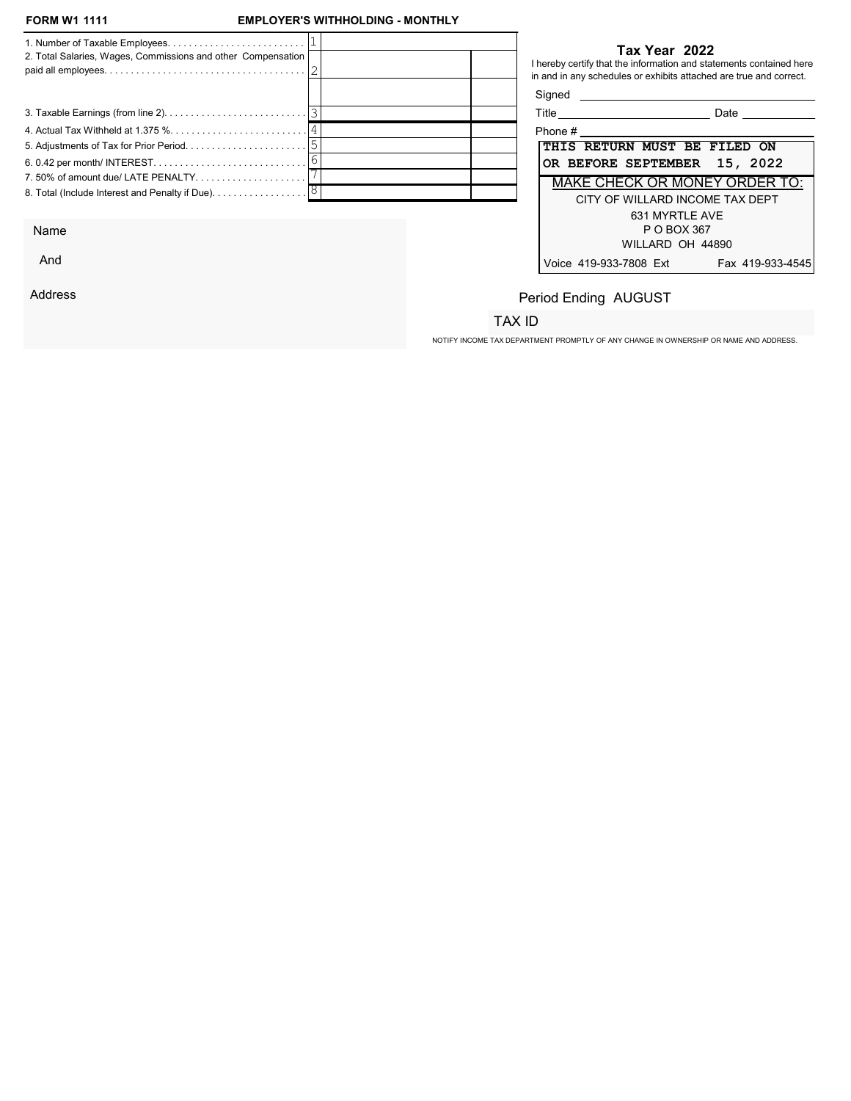## **EMPLOYER'S WITHHOLDING - MONTHLY**

| 2. Total Salaries, Wages, Commissions and other Compensation |  | Tax Year 2022<br>I hereby certify that the information and statements contained here<br>in and in any schedules or exhibits attached are true and correct. |
|--------------------------------------------------------------|--|------------------------------------------------------------------------------------------------------------------------------------------------------------|
|                                                              |  | Signed <b>Signed</b>                                                                                                                                       |
|                                                              |  | Date                                                                                                                                                       |
|                                                              |  | Phone #                                                                                                                                                    |
|                                                              |  | THIS RETURN MUST BE FILED ON                                                                                                                               |
|                                                              |  | OR BEFORE SEPTEMBER 15, 2022                                                                                                                               |
|                                                              |  | <b>MAKE CHECK OR MONEY ORDER TO:</b>                                                                                                                       |
|                                                              |  | CITY OF WILLARD INCOME TAX DEPT<br>631 MYRTLE AVE                                                                                                          |

Name

And

Address

#### Tax Year 2022

| Title<br>Date                              |  |
|--------------------------------------------|--|
| Phone #                                    |  |
| THIS RETURN MUST BE FILED ON               |  |
| OR BEFORE SEPTEMBER 15, 2022               |  |
| <b>MAKE CHECK OR MONEY ORDER TO:</b>       |  |
| CITY OF WILLARD INCOME TAX DEPT            |  |
| 631 MYRTI F AVF                            |  |
| P O BOX 367                                |  |
| WILLARD OH 44890                           |  |
| Voice 419-933-7808 Ext<br>Fax 419-933-4545 |  |

# Period Ending AUGUST

## TAX ID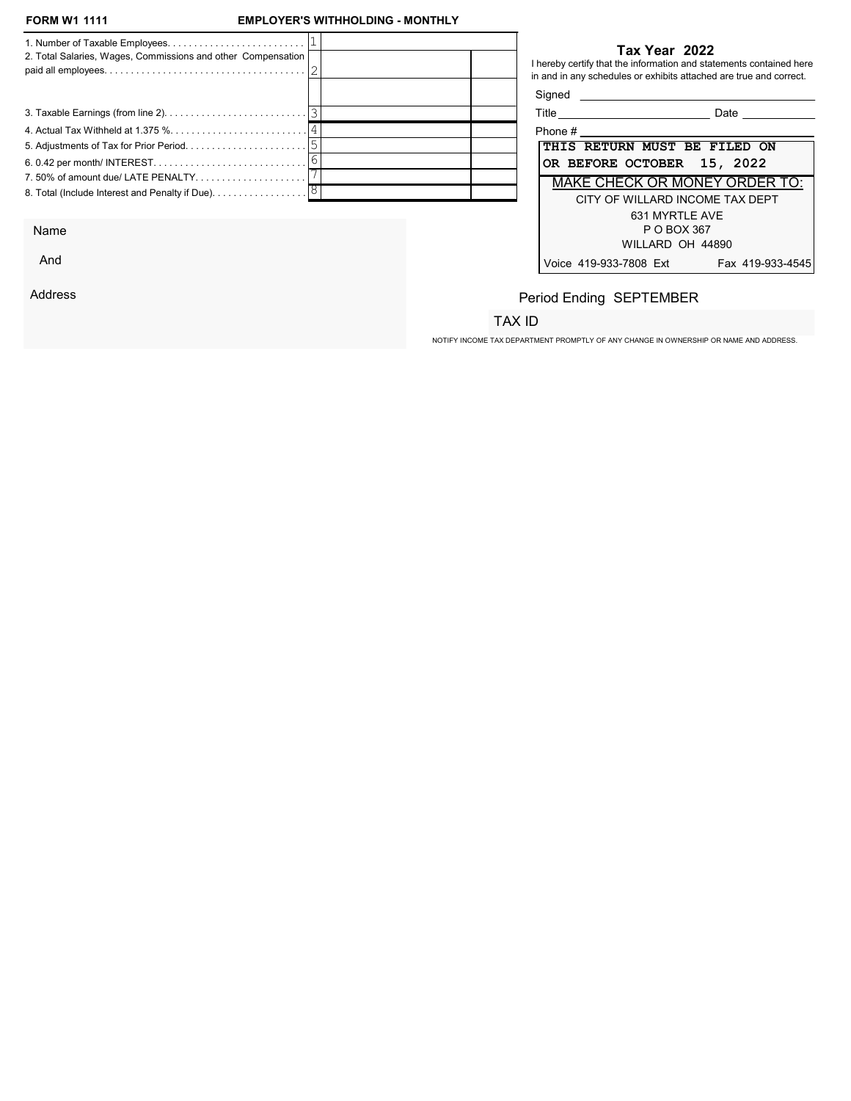## **EMPLOYER'S WITHHOLDING - MONTHLY**

| 2. Total Salaries, Wages, Commissions and other Compensation                  |  | Tax Year 2022<br>I hereby certify that the information and statements contained here<br>in and in any schedules or exhibits attached are true and correct. |
|-------------------------------------------------------------------------------|--|------------------------------------------------------------------------------------------------------------------------------------------------------------|
|                                                                               |  | Signed <b>Signed</b>                                                                                                                                       |
|                                                                               |  | Date                                                                                                                                                       |
|                                                                               |  | Phone $\#$                                                                                                                                                 |
|                                                                               |  | <b>THIS RETURN MUST BE FILED ON</b>                                                                                                                        |
|                                                                               |  | OR BEFORE OCTOBER 15, 2022                                                                                                                                 |
| 7.50% of amount due/ LATE PENALTY                                             |  | <b>MAKE CHECK OR MONEY ORDER TO:</b>                                                                                                                       |
| 8. Total (Include Interest and Penalty if Due). $\ldots \ldots \ldots \ldots$ |  | CITY OF WILLARD INCOME TAX DEPT<br>631 MYRTLE AVE                                                                                                          |

Name

And

Address

#### Tax Year 2022

| Title                                | Date             |
|--------------------------------------|------------------|
| Phone #                              |                  |
| <b>THIS RETURN MUST BE FILED ON</b>  |                  |
| OR BEFORE OCTOBER 15, 2022           |                  |
| <b>MAKE CHECK OR MONEY ORDER TO:</b> |                  |
| CITY OF WILLARD INCOME TAX DEPT      |                  |
| 631 MYRTLE AVE                       |                  |
| P O BOX 367                          |                  |
| WILLARD OH 44890                     |                  |
| Voice 419-933-7808 Ext               | Fax 419-933-4545 |

# Period Ending SEPTEMBER

## TAX ID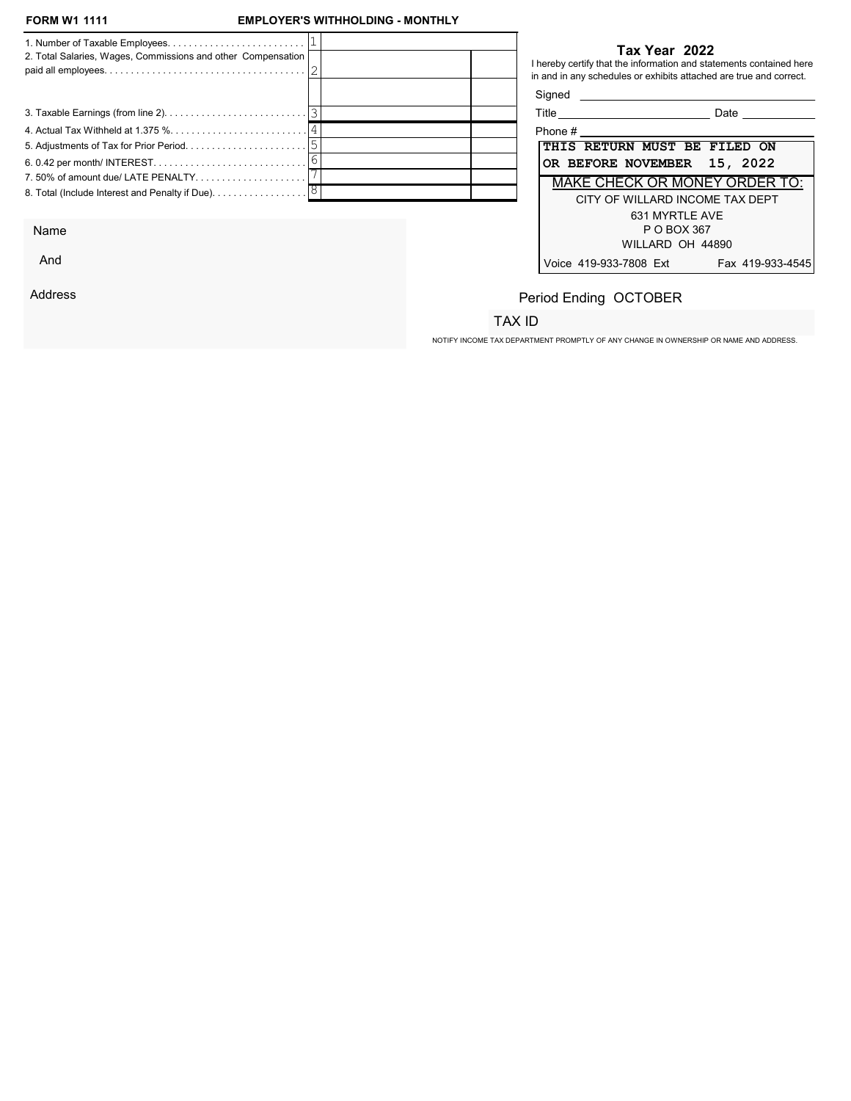## **EMPLOYER'S WITHHOLDING - MONTHLY**

| 2. Total Salaries, Wages, Commissions and other Compensation                  |  |                                      | Tax Year 2022<br>I hereby certify that the information and statements contained here<br>in and in any schedules or exhibits attached are true and correct. |
|-------------------------------------------------------------------------------|--|--------------------------------------|------------------------------------------------------------------------------------------------------------------------------------------------------------|
|                                                                               |  | Signed <b>Signed</b>                 |                                                                                                                                                            |
|                                                                               |  | Title ______________________________ | Date                                                                                                                                                       |
|                                                                               |  | Phone $\#$                           |                                                                                                                                                            |
|                                                                               |  |                                      | THIS RETURN MUST BE FILED ON                                                                                                                               |
|                                                                               |  |                                      | OR BEFORE NOVEMBER 15, 2022                                                                                                                                |
|                                                                               |  |                                      | <b>MAKE CHECK OR MONEY ORDER TO:</b>                                                                                                                       |
| 8. Total (Include Interest and Penalty if Due). $\ldots \ldots \ldots \ldots$ |  |                                      | CITY OF WILLARD INCOME TAX DEPT                                                                                                                            |
|                                                                               |  |                                      | 631 MYRTLE AVE                                                                                                                                             |

Name

And

Address

#### Tax Year 2022

| Title                        |                                      | Date |                  |
|------------------------------|--------------------------------------|------|------------------|
| Phone #                      |                                      |      |                  |
| THIS RETURN MUST BE FILED ON |                                      |      |                  |
| OR BEFORE NOVEMBER 15, 2022  |                                      |      |                  |
|                              | <b>MAKE CHECK OR MONEY ORDER TO:</b> |      |                  |
|                              | CITY OF WILLARD INCOME TAX DEPT      |      |                  |
|                              | 631 MYRTI F AVF                      |      |                  |
|                              | P O BOX 367                          |      |                  |
|                              | WILLARD OH 44890                     |      |                  |
| Voice 419-933-7808 Ext       |                                      |      | Fax 419-933-4545 |

# Period Ending OCTOBER

## TAX ID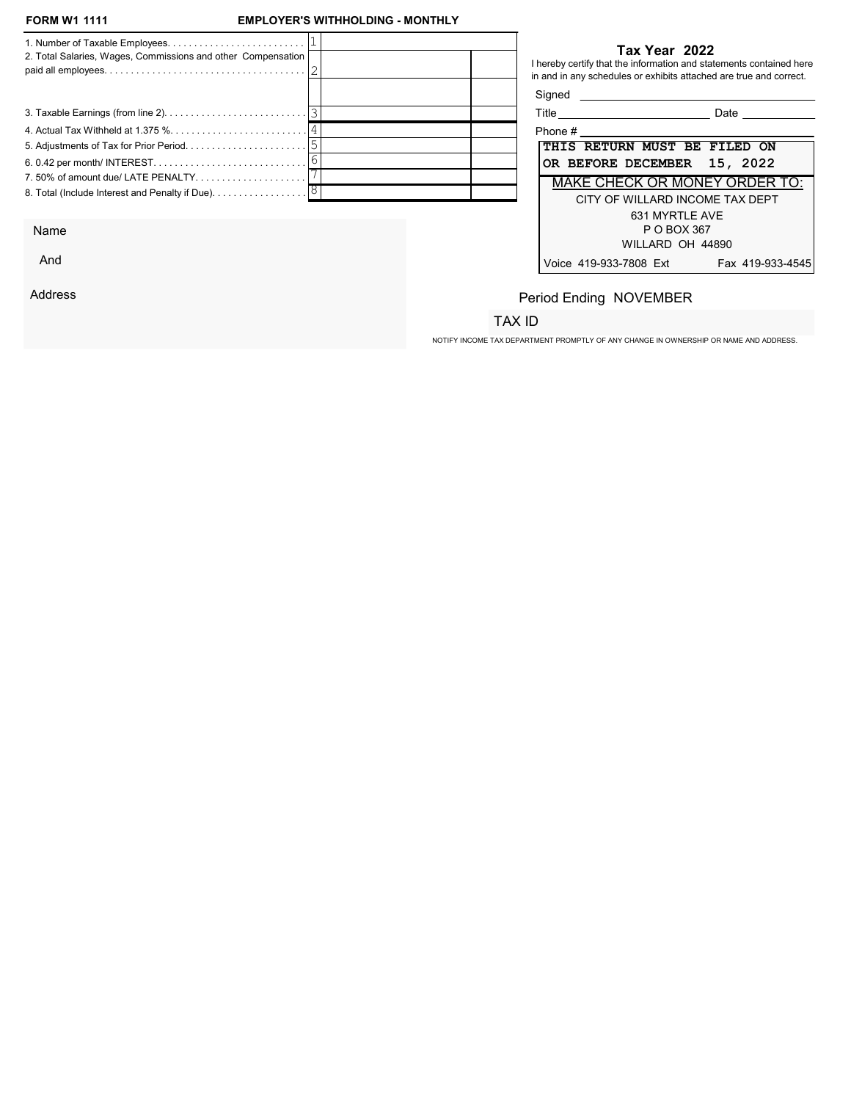And

Address

## **EMPLOYER'S WITHHOLDING - MONTHLY**

| 2. Total Salaries, Wages, Commissions and other Compensation |  |        | Tax Year 2022<br>I hereby certify that the information and statements contained here |
|--------------------------------------------------------------|--|--------|--------------------------------------------------------------------------------------|
|                                                              |  |        | in and in any schedules or exhibits attached are true and correct.                   |
|                                                              |  | Signed |                                                                                      |
|                                                              |  |        | Title _______________________________<br>Date                                        |
|                                                              |  |        | Phone #                                                                              |
|                                                              |  |        | THIS RETURN MUST BE FILED ON                                                         |
|                                                              |  |        | OR BEFORE DECEMBER 15, 2022                                                          |
|                                                              |  |        | <b>MAKE CHECK OR MONEY ORDER TO:</b>                                                 |
|                                                              |  |        | CITY OF WILLARD INCOME TAX DEPT                                                      |
|                                                              |  |        | 631 MYRTLE AVE                                                                       |
| Name                                                         |  |        | P O BOX 367                                                                          |

| Title                        | Date                                 |
|------------------------------|--------------------------------------|
| Phone #                      |                                      |
| THIS RETURN MUST BE FILED ON |                                      |
| OR BEFORE DECEMBER 15, 2022  |                                      |
|                              | <b>MAKE CHECK OR MONEY ORDER TO:</b> |
|                              | CITY OF WILLARD INCOME TAX DEPT      |
|                              | 631 MYRTLE AVE                       |
|                              | P O BOX 367                          |
|                              | WILLARD OH 44890                     |
| Voice 419-933-7808 Ext       | Fax 419-933-4545                     |

# Period Ending NOVEMBER

## TAX ID